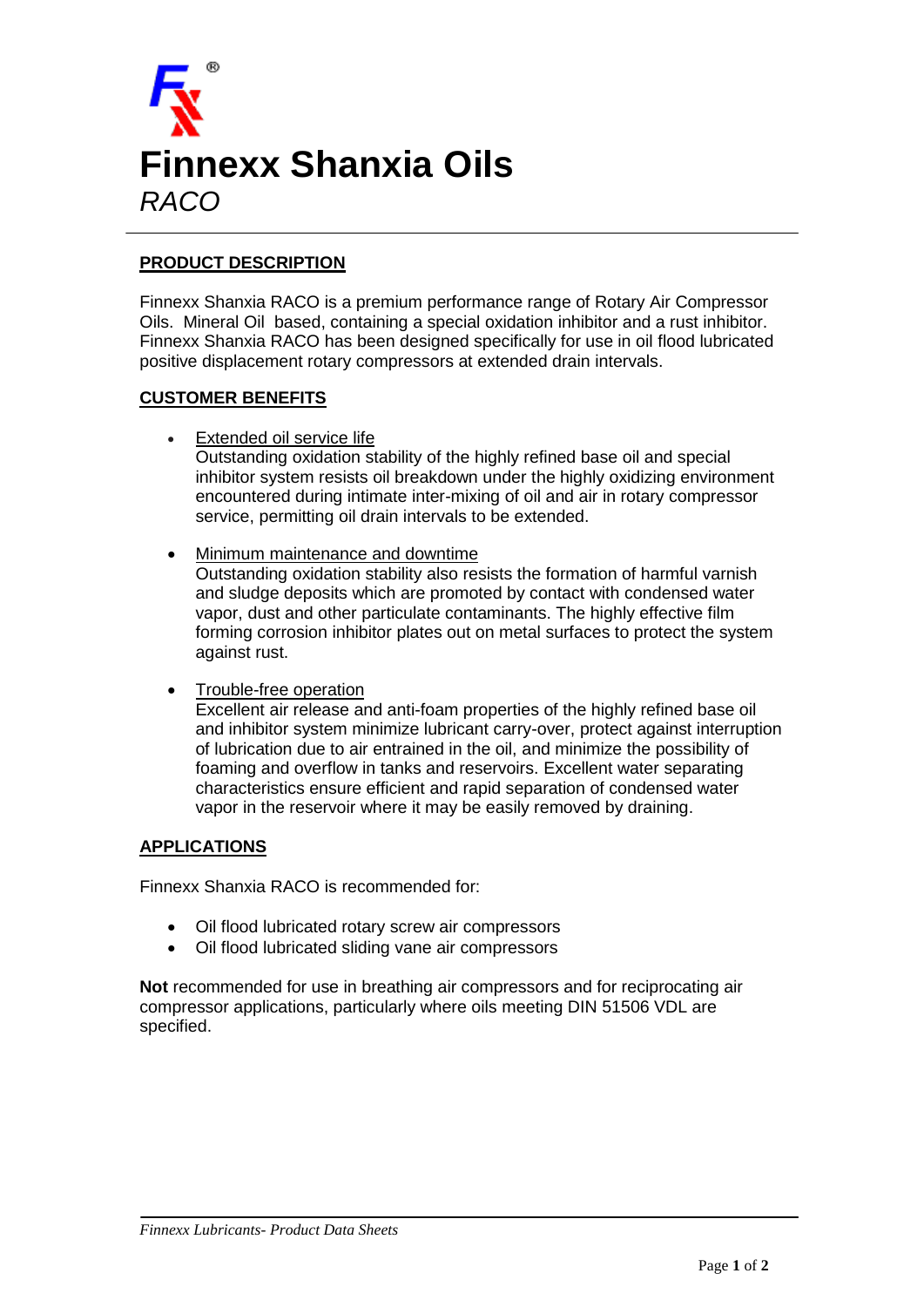

## **PRODUCT DESCRIPTION**

Finnexx Shanxia RACO is a premium performance range of Rotary Air Compressor Oils. Mineral Oil based, containing a special oxidation inhibitor and a rust inhibitor. Finnexx Shanxia RACO has been designed specifically for use in oil flood lubricated positive displacement rotary compressors at extended drain intervals.

## **CUSTOMER BENEFITS**

Extended oil service life

Outstanding oxidation stability of the highly refined base oil and special inhibitor system resists oil breakdown under the highly oxidizing environment encountered during intimate inter-mixing of oil and air in rotary compressor service, permitting oil drain intervals to be extended.

Minimum maintenance and downtime

Outstanding oxidation stability also resists the formation of harmful varnish and sludge deposits which are promoted by contact with condensed water vapor, dust and other particulate contaminants. The highly effective film forming corrosion inhibitor plates out on metal surfaces to protect the system against rust.

Trouble-free operation

Excellent air release and anti-foam properties of the highly refined base oil and inhibitor system minimize lubricant carry-over, protect against interruption of lubrication due to air entrained in the oil, and minimize the possibility of foaming and overflow in tanks and reservoirs. Excellent water separating characteristics ensure efficient and rapid separation of condensed water vapor in the reservoir where it may be easily removed by draining.

## **APPLICATIONS**

Finnexx Shanxia RACO is recommended for:

- Oil flood lubricated rotary screw air compressors
- Oil flood lubricated sliding vane air compressors

**Not** recommended for use in breathing air compressors and for reciprocating air compressor applications, particularly where oils meeting DIN 51506 VDL are specified.